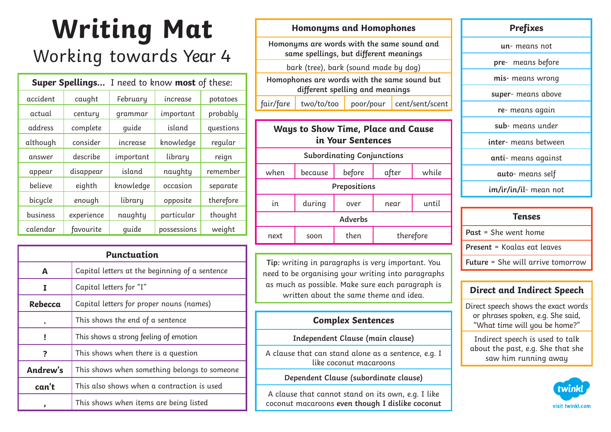# **Writing Mat**  Working towards Year 4

| I need to know <b>most</b> of these:<br><b>Super Spellings</b> |            |           |             |           |
|----------------------------------------------------------------|------------|-----------|-------------|-----------|
| accident                                                       | caught     | February  | increase    | potatoes  |
| actual                                                         | century    | grammar   | important   | probably  |
| address                                                        | complete   | quide     | island      | questions |
| although                                                       | consider   | increase  | knowledge   | regular   |
| answer                                                         | describe   | important | library     | reign     |
| appear                                                         | disappear  | island    | naughty     | remember  |
| believe                                                        | eighth     | knowledge | occasion    | separate  |
| bicycle                                                        | enough     | library   | opposite    | therefore |
| business                                                       | experience | naughty   | particular  | thought   |
| calendar                                                       | favourite  | quide     | possessions | weight    |

| <b>Punctuation</b> |                                                |  |
|--------------------|------------------------------------------------|--|
| Α                  | Capital letters at the beginning of a sentence |  |
| I                  | Capital letters for "I"                        |  |
| Rebecca            | Capital letters for proper nouns (names)       |  |
|                    | This shows the end of a sentence               |  |
| ī                  | This shows a strong feeling of emotion         |  |
| ?                  | This shows when there is a question            |  |
| Andrew's           | This shows when something belongs to someone   |  |
| can't              | This also shows when a contraction is used     |  |
|                    | This shows when items are being listed         |  |

#### **Homonyms and Homophones**

**Homonyms are words with the same sound and same spellings, but different meanings**

bark (tree), bark (sound made by dog)

**Homophones are words with the same sound but different spelling and meanings**

 $fair/fare$  two/to/too poor/pour cent/sent/scent

## **Ways to Show Time, Place and Cause in Your Sentences Subordinating Conjunctions** when because before after while **Prepositions** in during over near until **Adverbs** next soon then therefore

**Tip:** writing in paragraphs is very important. You need to be organising your writing into paragraphs as much as possible. Make sure each paragraph is written about the same theme and idea.

#### **Complex Sentences**

**Independent Clause (main clause)**

A clause that can stand alone as a sentence, e.g. I like coconut macaroons

#### **Dependent Clause (subordinate clause)**

A clause that cannot stand on its own, e.g. I like coconut macaroons **even though I dislike coconut**

#### **Prefixes**

**un**- means not

**pre**- means before

**mis**- means wrong

**super**- means above

**re**- means again

**sub**- means under

**inter**- means between

**anti**- means against

**auto**- means self

**im/ir/in/il**- mean not

| <b>Tenses</b>                            |
|------------------------------------------|
| Past = She went home                     |
| Present = Koalas eat leaves              |
| <b>Future = She will arrive tomorrow</b> |

### **Direct and Indirect Speech**

Direct speech shows the exact words or phrases spoken, e.g. She said, "What time will you be home?"

Indirect speech is used to talk about the past, e.g. She that she saw him running away

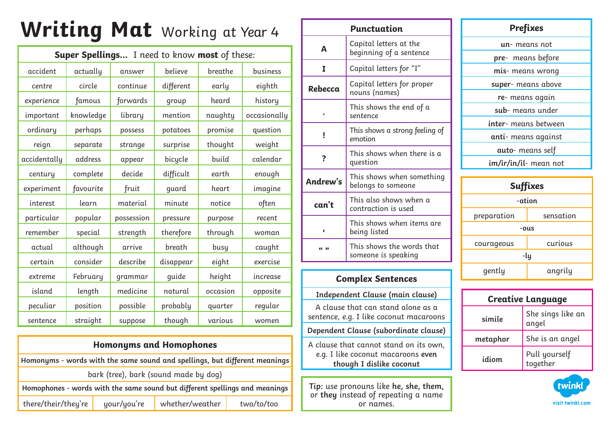# **Writing Mat** Working at Year <sup>4</sup>

| Super Spellings I need to know most of these: |           |            |           |          |              |
|-----------------------------------------------|-----------|------------|-----------|----------|--------------|
| accident                                      | actually  | answer     | believe   | breathe  | business     |
| centre                                        | circle    | continue   | different | early    | eighth       |
| experience                                    | famous    | forwards   | group     | heard    | history      |
| important                                     | knowledge | library    | mention   | naughty  | occasionally |
| ordinary                                      | perhaps   | possess    | potatoes  | promise  | question     |
| reign                                         | separate  | strange    | surprise  | thought  | weight       |
| accidentally                                  | address   | appear     | bicycle   | build    | calendar     |
| century                                       | complete  | decide     | difficult | earth    | enough       |
| experiment                                    | favourite | fruit      | quard     | heart    | imagine      |
| interest                                      | learn     | material   | minute    | notice   | often        |
| particular                                    | popular   | possession | pressure  | purpose  | recent       |
| remember                                      | special   | strength   | therefore | through  | woman        |
| actual                                        | although  | arrive     | breath    | busy     | caught       |
| certain                                       | consider  | describe   | disappear | eight    | exercise     |
| extreme                                       | February  | grammar    | quide     | height   | increase     |
| island                                        | length    | medicine   | natural   | occasion | opposite     |
| peculiar                                      | position  | possible   | probably  | quarter  | regular      |
| sentence                                      | straight  | suppose    | though    | various  | women        |

| <b>Homonyms and Homophones</b>                                              |             |                 |            |
|-----------------------------------------------------------------------------|-------------|-----------------|------------|
| Homonyms - words with the same sound and spellings, but different meanings  |             |                 |            |
| bark (tree), bark (sound made by dog)                                       |             |                 |            |
| Homophones - words with the same sound but different spellings and meanings |             |                 |            |
| there/their/they're                                                         | your/you're | whether/weather | two/to/too |

| <b>Punctuation</b>                                                                                       |                                                   |  |  |
|----------------------------------------------------------------------------------------------------------|---------------------------------------------------|--|--|
| A                                                                                                        | Capital letters at the<br>beginning of a sentence |  |  |
| I                                                                                                        | Capital letters for "I"                           |  |  |
| Rebecca                                                                                                  | Capital letters for proper<br>nouns (names)       |  |  |
|                                                                                                          | This shows the end of a<br>sentence               |  |  |
| i                                                                                                        | This shows a strong feeling of<br>emotion         |  |  |
| ?                                                                                                        | This shows when there is a<br>question            |  |  |
| Andrew's                                                                                                 | This shows when something<br>belongs to someone   |  |  |
| can't                                                                                                    | This also shows when a<br>contraction is used     |  |  |
|                                                                                                          | This shows when items are<br>being listed         |  |  |
| (1)                                                                                                      | This shows the words that<br>someone is speaking  |  |  |
|                                                                                                          |                                                   |  |  |
|                                                                                                          | <b>Complex Sentences</b>                          |  |  |
| Independent Clause (main clause)                                                                         |                                                   |  |  |
| A clause that can stand alone as a<br>sentence, e.g. I like coconut macaroons                            |                                                   |  |  |
| Dependent Clause (subordinate clause)                                                                    |                                                   |  |  |
| A clause that cannot stand on its own,<br>e.g. I like coconut macaroons even<br>though I dislike coconut |                                                   |  |  |
|                                                                                                          |                                                   |  |  |
| Tip: use pronouns like he, she, them,<br>or they instead of repeating a name                             |                                                   |  |  |

or names.

| Prefixes              |  |  |  |
|-----------------------|--|--|--|
| un- means not         |  |  |  |
| pre- means before     |  |  |  |
| mis- means wrong      |  |  |  |
| super- means above    |  |  |  |
| re- means again       |  |  |  |
| sub- means under      |  |  |  |
| inter- means between  |  |  |  |
| anti- means against   |  |  |  |
| auto- means self      |  |  |  |
| im/ir/in/il- mean not |  |  |  |
|                       |  |  |  |

| <b>Suffixes</b>          |  |  |  |
|--------------------------|--|--|--|
| -ation                   |  |  |  |
| sensation<br>preparation |  |  |  |
| -ous                     |  |  |  |
| curious<br>courageous    |  |  |  |
| -ly                      |  |  |  |
| gently<br>angrily        |  |  |  |

| <b>Creative Language</b> |                            |  |  |
|--------------------------|----------------------------|--|--|
| simile                   | She sings like an<br>angel |  |  |
| metaphor                 | She is an angel            |  |  |
| idiom                    | Pull yourself<br>together  |  |  |